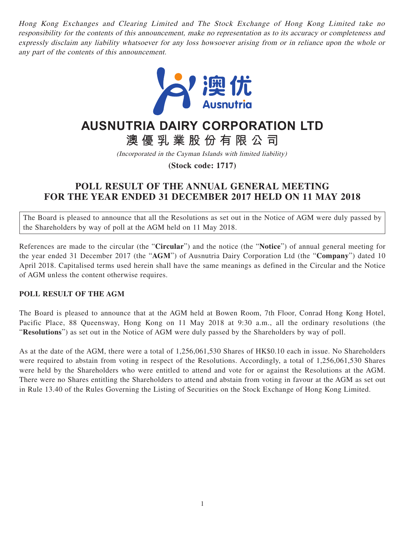Hong Kong Exchanges and Clearing Limited and The Stock Exchange of Hong Kong Limited take no responsibility for the contents of this announcement, make no representation as to its accuracy or completeness and expressly disclaim any liability whatsoever for any loss howsoever arising from or in reliance upon the whole or any part of the contents of this announcement.



## **AUSNUTRIA DAIRY CORPORATION LTD**

**澳優乳業股份有限公司**

(Incorporated in the Cayman Islands with limited liability)

**(Stock code: 1717)**

## **POLL RESULT OF THE ANNUAL GENERAL MEETING FOR THE YEAR ENDED 31 DECEMBER 2017 HELD ON 11 MAY 2018**

The Board is pleased to announce that all the Resolutions as set out in the Notice of AGM were duly passed by the Shareholders by way of poll at the AGM held on 11 May 2018.

References are made to the circular (the "**Circular**") and the notice (the "**Notice**") of annual general meeting for the year ended 31 December 2017 (the "**AGM**") of Ausnutria Dairy Corporation Ltd (the "**Company**") dated 10 April 2018. Capitalised terms used herein shall have the same meanings as defined in the Circular and the Notice of AGM unless the content otherwise requires.

## **POLL RESULT OF THE AGM**

The Board is pleased to announce that at the AGM held at Bowen Room, 7th Floor, Conrad Hong Kong Hotel, Pacific Place, 88 Queensway, Hong Kong on 11 May 2018 at 9:30 a.m., all the ordinary resolutions (the "**Resolutions**") as set out in the Notice of AGM were duly passed by the Shareholders by way of poll.

As at the date of the AGM, there were a total of 1,256,061,530 Shares of HK\$0.10 each in issue. No Shareholders were required to abstain from voting in respect of the Resolutions. Accordingly, a total of 1,256,061,530 Shares were held by the Shareholders who were entitled to attend and vote for or against the Resolutions at the AGM. There were no Shares entitling the Shareholders to attend and abstain from voting in favour at the AGM as set out in Rule 13.40 of the Rules Governing the Listing of Securities on the Stock Exchange of Hong Kong Limited.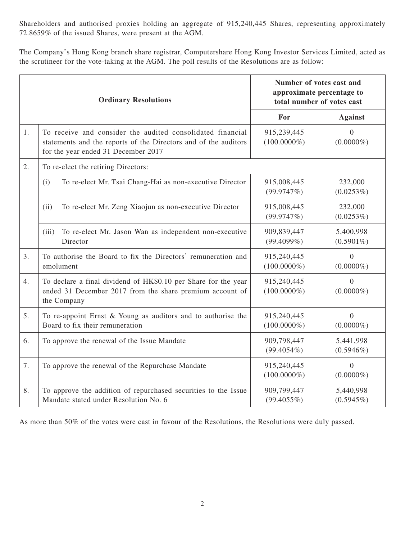Shareholders and authorised proxies holding an aggregate of 915,240,445 Shares, representing approximately 72.8659% of the issued Shares, were present at the AGM.

The Company's Hong Kong branch share registrar, Computershare Hong Kong Investor Services Limited, acted as the scrutineer for the vote-taking at the AGM. The poll results of the Resolutions are as follow:

| <b>Ordinary Resolutions</b> |                                                                                                                                                                      | Number of votes cast and<br>approximate percentage to<br>total number of votes cast |                                |
|-----------------------------|----------------------------------------------------------------------------------------------------------------------------------------------------------------------|-------------------------------------------------------------------------------------|--------------------------------|
|                             |                                                                                                                                                                      | For                                                                                 | <b>Against</b>                 |
| 1.                          | To receive and consider the audited consolidated financial<br>statements and the reports of the Directors and of the auditors<br>for the year ended 31 December 2017 | 915,239,445<br>$(100.0000\%)$                                                       | $\overline{0}$<br>$(0.0000\%)$ |
| 2.                          | To re-elect the retiring Directors:                                                                                                                                  |                                                                                     |                                |
|                             | To re-elect Mr. Tsai Chang-Hai as non-executive Director<br>(i)                                                                                                      | 915,008,445<br>(99.9747%)                                                           | 232,000<br>$(0.0253\%)$        |
|                             | To re-elect Mr. Zeng Xiaojun as non-executive Director<br>(ii)                                                                                                       | 915,008,445<br>(99.9747%)                                                           | 232,000<br>$(0.0253\%)$        |
|                             | To re-elect Mr. Jason Wan as independent non-executive<br>(iii)<br>Director                                                                                          | 909,839,447<br>(99.4099%)                                                           | 5,400,998<br>$(0.5901\%)$      |
| 3.                          | To authorise the Board to fix the Directors' remuneration and<br>emolument                                                                                           | 915,240,445<br>$(100.0000\%)$                                                       | $\overline{0}$<br>$(0.0000\%)$ |
| 4.                          | To declare a final dividend of HK\$0.10 per Share for the year<br>ended 31 December 2017 from the share premium account of<br>the Company                            | 915,240,445<br>$(100.0000\%)$                                                       | $\theta$<br>$(0.0000\%)$       |
| 5.                          | To re-appoint Ernst & Young as auditors and to authorise the<br>Board to fix their remuneration                                                                      | 915,240,445<br>$(100.0000\%)$                                                       | $\overline{0}$<br>$(0.0000\%)$ |
| 6.                          | To approve the renewal of the Issue Mandate                                                                                                                          | 909,798,447<br>$(99.4054\%)$                                                        | 5,441,998<br>$(0.5946\%)$      |
| 7.                          | To approve the renewal of the Repurchase Mandate                                                                                                                     | 915,240,445<br>$(100.0000\%)$                                                       | $\Omega$<br>$(0.0000\%)$       |
| 8.                          | To approve the addition of repurchased securities to the Issue<br>Mandate stated under Resolution No. 6                                                              | 909,799,447<br>$(99.4055\%)$                                                        | 5,440,998<br>$(0.5945\%)$      |

As more than 50% of the votes were cast in favour of the Resolutions, the Resolutions were duly passed.